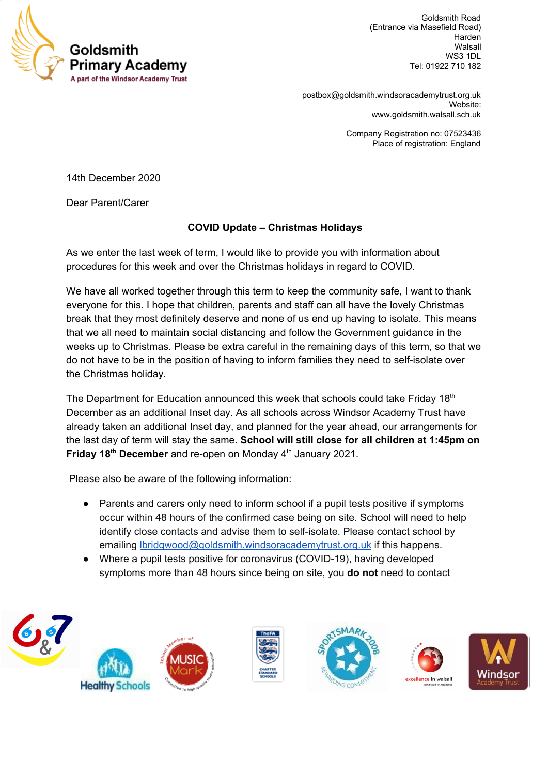

Goldsmith Road (Entrance via Masefield Road) Harden Walsall WS3 1DL Tel: 01922 710 182

[postbox@goldsmith.windsoracademytrust.org.uk](mailto:postbox@goldsmith.windsoracademytrust.org.uk) Website: [www.goldsmith.walsall.sch.uk](http://www.goldsmith.walsall.sch.uk/)

> Company Registration no: 07523436 Place of registration: England

14th December 2020

Dear Parent/Carer

## **COVID Update – Christmas Holidays**

As we enter the last week of term, I would like to provide you with information about procedures for this week and over the Christmas holidays in regard to COVID.

We have all worked together through this term to keep the community safe, I want to thank everyone for this. I hope that children, parents and staff can all have the lovely Christmas break that they most definitely deserve and none of us end up having to isolate. This means that we all need to maintain social distancing and follow the Government guidance in the weeks up to Christmas. Please be extra careful in the remaining days of this term, so that we do not have to be in the position of having to inform families they need to self-isolate over the Christmas holiday.

The Department for Education announced this week that schools could take Friday 18<sup>th</sup> December as an additional Inset day. As all schools across Windsor Academy Trust have already taken an additional Inset day, and planned for the year ahead, our arrangements for the last day of term will stay the same. **School will still close for all children at 1:45pm on** Friday 18<sup>th</sup> December and re-open on Monday 4<sup>th</sup> January 2021.

Please also be aware of the following information:

- Parents and carers only need to inform school if a pupil tests positive if symptoms occur within 48 hours of the confirmed case being on site. School will need to help identify close contacts and advise them to self-isolate. Please contact school by emailing [lbridgwood@goldsmith.windsoracademytrust.org.uk](mailto:lbridgwood@goldsmith.windsoracademytrust.org.uk) if this happens.
- Where a pupil tests positive for coronavirus (COVID-19), having developed symptoms more than 48 hours since being on site, you **do not** need to contact